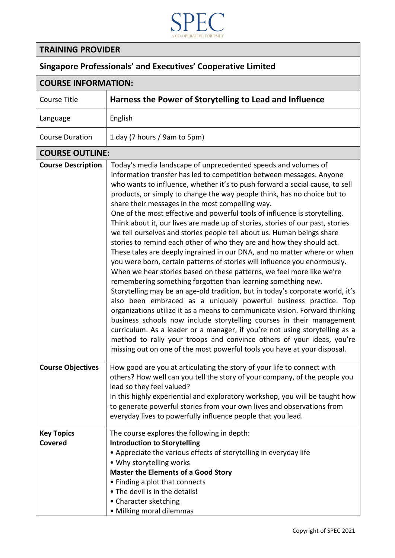

## **TRAINING PROVIDER**

## **Singapore Professionals' and Executives' Cooperative Limited**

## **COURSE INFORMATION:**

| LUUNJL IINFUNIVIM I IUIN.           |                                                                                                                                                                                                                                                                                                                                                                                                                                                                                                                                                                                                                                                                                                                                                                                                                                                                                                                                                                                                                                                                                                                                                                                                                                                                                                                                                                                                                                                                                                                               |  |
|-------------------------------------|-------------------------------------------------------------------------------------------------------------------------------------------------------------------------------------------------------------------------------------------------------------------------------------------------------------------------------------------------------------------------------------------------------------------------------------------------------------------------------------------------------------------------------------------------------------------------------------------------------------------------------------------------------------------------------------------------------------------------------------------------------------------------------------------------------------------------------------------------------------------------------------------------------------------------------------------------------------------------------------------------------------------------------------------------------------------------------------------------------------------------------------------------------------------------------------------------------------------------------------------------------------------------------------------------------------------------------------------------------------------------------------------------------------------------------------------------------------------------------------------------------------------------------|--|
| Course Title                        | Harness the Power of Storytelling to Lead and Influence                                                                                                                                                                                                                                                                                                                                                                                                                                                                                                                                                                                                                                                                                                                                                                                                                                                                                                                                                                                                                                                                                                                                                                                                                                                                                                                                                                                                                                                                       |  |
| Language                            | English                                                                                                                                                                                                                                                                                                                                                                                                                                                                                                                                                                                                                                                                                                                                                                                                                                                                                                                                                                                                                                                                                                                                                                                                                                                                                                                                                                                                                                                                                                                       |  |
| <b>Course Duration</b>              | 1 day (7 hours / 9am to 5pm)                                                                                                                                                                                                                                                                                                                                                                                                                                                                                                                                                                                                                                                                                                                                                                                                                                                                                                                                                                                                                                                                                                                                                                                                                                                                                                                                                                                                                                                                                                  |  |
| <b>COURSE OUTLINE:</b>              |                                                                                                                                                                                                                                                                                                                                                                                                                                                                                                                                                                                                                                                                                                                                                                                                                                                                                                                                                                                                                                                                                                                                                                                                                                                                                                                                                                                                                                                                                                                               |  |
| <b>Course Description</b>           | Today's media landscape of unprecedented speeds and volumes of<br>information transfer has led to competition between messages. Anyone<br>who wants to influence, whether it's to push forward a social cause, to sell<br>products, or simply to change the way people think, has no choice but to<br>share their messages in the most compelling way.<br>One of the most effective and powerful tools of influence is storytelling.<br>Think about it, our lives are made up of stories, stories of our past, stories<br>we tell ourselves and stories people tell about us. Human beings share<br>stories to remind each other of who they are and how they should act.<br>These tales are deeply ingrained in our DNA, and no matter where or when<br>you were born, certain patterns of stories will influence you enormously.<br>When we hear stories based on these patterns, we feel more like we're<br>remembering something forgotten than learning something new.<br>Storytelling may be an age-old tradition, but in today's corporate world, it's<br>also been embraced as a uniquely powerful business practice. Top<br>organizations utilize it as a means to communicate vision. Forward thinking<br>business schools now include storytelling courses in their management<br>curriculum. As a leader or a manager, if you're not using storytelling as a<br>method to rally your troops and convince others of your ideas, you're<br>missing out on one of the most powerful tools you have at your disposal. |  |
| <b>Course Objectives</b>            | How good are you at articulating the story of your life to connect with<br>others? How well can you tell the story of your company, of the people you<br>lead so they feel valued?<br>In this highly experiential and exploratory workshop, you will be taught how<br>to generate powerful stories from your own lives and observations from<br>everyday lives to powerfully influence people that you lead.                                                                                                                                                                                                                                                                                                                                                                                                                                                                                                                                                                                                                                                                                                                                                                                                                                                                                                                                                                                                                                                                                                                  |  |
| <b>Key Topics</b><br><b>Covered</b> | The course explores the following in depth:<br><b>Introduction to Storytelling</b><br>• Appreciate the various effects of storytelling in everyday life<br>• Why storytelling works<br><b>Master the Elements of a Good Story</b><br>• Finding a plot that connects<br>. The devil is in the details!<br>• Character sketching<br>· Milking moral dilemmas                                                                                                                                                                                                                                                                                                                                                                                                                                                                                                                                                                                                                                                                                                                                                                                                                                                                                                                                                                                                                                                                                                                                                                    |  |